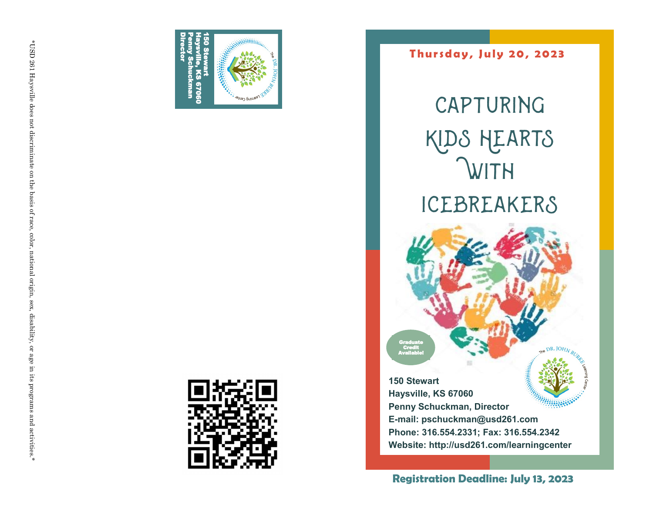



**T hu r s d a y , J u l y 2 0 , 20 23**

**CAPTURING** Kids Hearts **WITH** Icebreakers

**150 Stewart Haysville, KS 67060 Penny Schuckman, Director E-mail: pschuckman@usd261.com Phone: 316.554.2331; Fax: 316.554.2342 Website: http://usd261.com/learningcenter**

**Graduate Credit** Available!

**Registration Deadline: July 13, 2023**